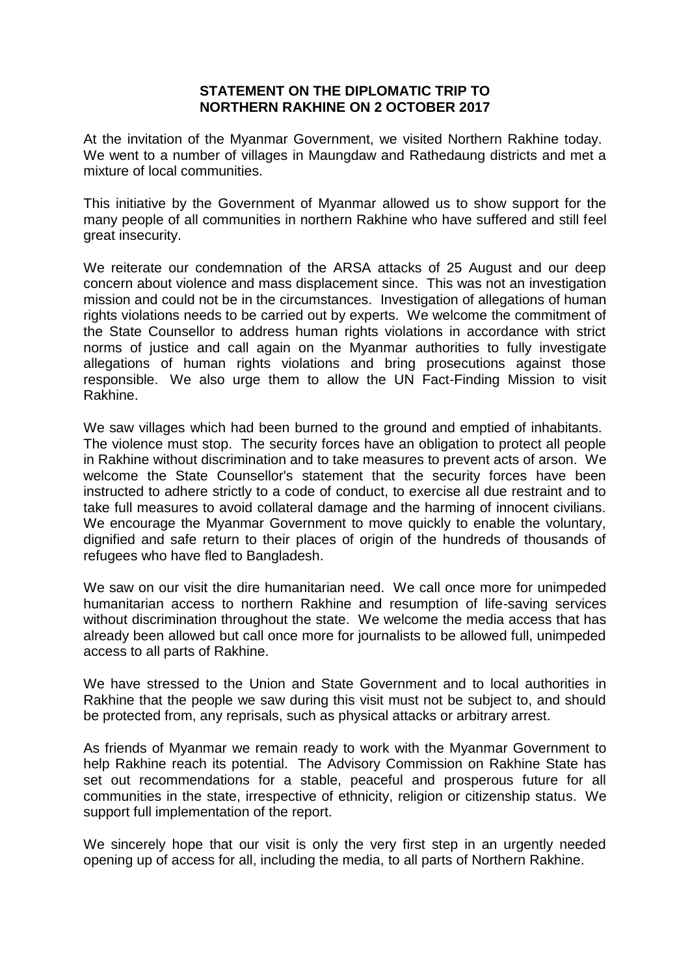## **STATEMENT ON THE DIPLOMATIC TRIP TO NORTHERN RAKHINE ON 2 OCTOBER 2017**

At the invitation of the Myanmar Government, we visited Northern Rakhine today. We went to a number of villages in Maungdaw and Rathedaung districts and met a mixture of local communities.

This initiative by the Government of Myanmar allowed us to show support for the many people of all communities in northern Rakhine who have suffered and still feel great insecurity.

We reiterate our condemnation of the ARSA attacks of 25 August and our deep concern about violence and mass displacement since. This was not an investigation mission and could not be in the circumstances. Investigation of allegations of human rights violations needs to be carried out by experts. We welcome the commitment of the State Counsellor to address human rights violations in accordance with strict norms of justice and call again on the Myanmar authorities to fully investigate allegations of human rights violations and bring prosecutions against those responsible. We also urge them to allow the UN Fact-Finding Mission to visit Rakhine.

We saw villages which had been burned to the ground and emptied of inhabitants. The violence must stop. The security forces have an obligation to protect all people in Rakhine without discrimination and to take measures to prevent acts of arson. We welcome the State Counsellor's statement that the security forces have been instructed to adhere strictly to a code of conduct, to exercise all due restraint and to take full measures to avoid collateral damage and the harming of innocent civilians. We encourage the Myanmar Government to move quickly to enable the voluntary, dignified and safe return to their places of origin of the hundreds of thousands of refugees who have fled to Bangladesh.

We saw on our visit the dire humanitarian need. We call once more for unimpeded humanitarian access to northern Rakhine and resumption of life-saving services without discrimination throughout the state. We welcome the media access that has already been allowed but call once more for journalists to be allowed full, unimpeded access to all parts of Rakhine.

We have stressed to the Union and State Government and to local authorities in Rakhine that the people we saw during this visit must not be subject to, and should be protected from, any reprisals, such as physical attacks or arbitrary arrest.

As friends of Myanmar we remain ready to work with the Myanmar Government to help Rakhine reach its potential. The Advisory Commission on Rakhine State has set out recommendations for a stable, peaceful and prosperous future for all communities in the state, irrespective of ethnicity, religion or citizenship status. We support full implementation of the report.

We sincerely hope that our visit is only the very first step in an urgently needed opening up of access for all, including the media, to all parts of Northern Rakhine.